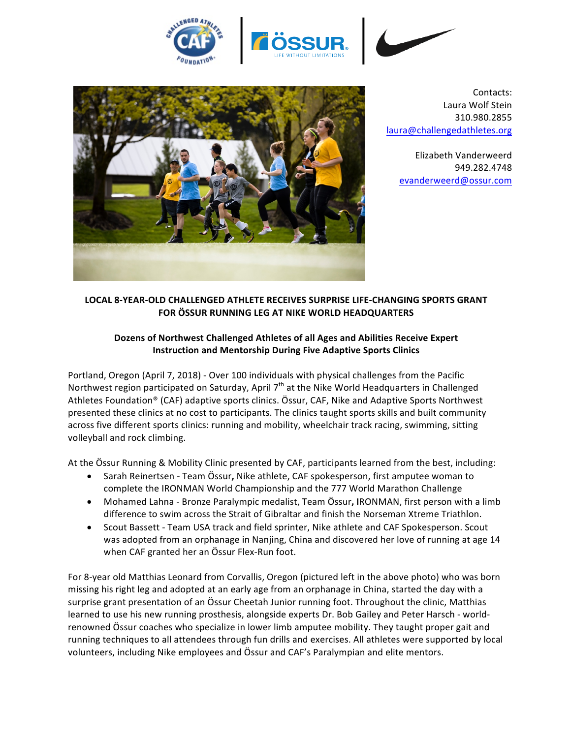



Contacts: Laura Wolf Stein 310.980.2855 laura@challengedathletes.org

Elizabeth Vanderweerd 949.282.4748 evanderweerd@ossur.com

# **LOCAL 8-YEAR-OLD CHALLENGED ATHLETE RECEIVES SURPRISE LIFE-CHANGING SPORTS GRANT FOR ÖSSUR RUNNING LEG AT NIKE WORLD HEADQUARTERS**

# Dozens of Northwest Challenged Athletes of all Ages and Abilities Receive Expert **Instruction and Mentorship During Five Adaptive Sports Clinics**

Portland, Oregon (April 7, 2018) - Over 100 individuals with physical challenges from the Pacific Northwest region participated on Saturday, April  $7<sup>th</sup>$  at the Nike World Headquarters in Challenged Athletes Foundation® (CAF) adaptive sports clinics. Össur, CAF, Nike and Adaptive Sports Northwest presented these clinics at no cost to participants. The clinics taught sports skills and built community across five different sports clinics: running and mobility, wheelchair track racing, swimming, sitting volleyball and rock climbing.

At the Össur Running & Mobility Clinic presented by CAF, participants learned from the best, including:

- Sarah Reinertsen Team Össur, Nike athlete, CAF spokesperson, first amputee woman to complete the IRONMAN World Championship and the 777 World Marathon Challenge
- Mohamed Lahna Bronze Paralympic medalist, Team Össur, IRONMAN, first person with a limb difference to swim across the Strait of Gibraltar and finish the Norseman Xtreme Triathlon.
- Scout Bassett Team USA track and field sprinter, Nike athlete and CAF Spokesperson. Scout was adopted from an orphanage in Nanjing, China and discovered her love of running at age 14 when CAF granted her an Össur Flex-Run foot.

For 8-year old Matthias Leonard from Corvallis, Oregon (pictured left in the above photo) who was born missing his right leg and adopted at an early age from an orphanage in China, started the day with a surprise grant presentation of an Össur Cheetah Junior running foot. Throughout the clinic, Matthias learned to use his new running prosthesis, alongside experts Dr. Bob Gailey and Peter Harsch - worldrenowned Össur coaches who specialize in lower limb amputee mobility. They taught proper gait and running techniques to all attendees through fun drills and exercises. All athletes were supported by local volunteers, including Nike employees and Össur and CAF's Paralympian and elite mentors.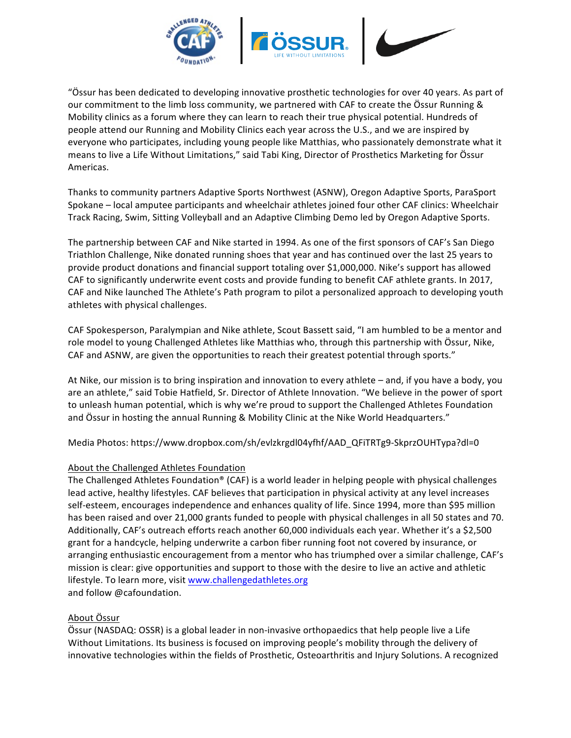

"Össur has been dedicated to developing innovative prosthetic technologies for over 40 years. As part of our commitment to the limb loss community, we partnered with CAF to create the Ossur Running & Mobility clinics as a forum where they can learn to reach their true physical potential. Hundreds of people attend our Running and Mobility Clinics each year across the U.S., and we are inspired by everyone who participates, including young people like Matthias, who passionately demonstrate what it means to live a Life Without Limitations," said Tabi King, Director of Prosthetics Marketing for Össur Americas. 

Thanks to community partners Adaptive Sports Northwest (ASNW), Oregon Adaptive Sports, ParaSport Spokane – local amputee participants and wheelchair athletes joined four other CAF clinics: Wheelchair Track Racing, Swim, Sitting Volleyball and an Adaptive Climbing Demo led by Oregon Adaptive Sports.

The partnership between CAF and Nike started in 1994. As one of the first sponsors of CAF's San Diego Triathlon Challenge, Nike donated running shoes that year and has continued over the last 25 years to provide product donations and financial support totaling over \$1,000,000. Nike's support has allowed CAF to significantly underwrite event costs and provide funding to benefit CAF athlete grants. In 2017, CAF and Nike launched The Athlete's Path program to pilot a personalized approach to developing youth athletes with physical challenges.

CAF Spokesperson, Paralympian and Nike athlete, Scout Bassett said, "I am humbled to be a mentor and role model to young Challenged Athletes like Matthias who, through this partnership with Össur, Nike, CAF and ASNW, are given the opportunities to reach their greatest potential through sports."

At Nike, our mission is to bring inspiration and innovation to every athlete – and, if you have a body, you are an athlete," said Tobie Hatfield, Sr. Director of Athlete Innovation. "We believe in the power of sport to unleash human potential, which is why we're proud to support the Challenged Athletes Foundation and Össur in hosting the annual Running & Mobility Clinic at the Nike World Headquarters."

Media Photos: https://www.dropbox.com/sh/evlzkrgdl04yfhf/AAD\_QFiTRTg9-SkprzOUHTypa?dl=0

## About the Challenged Athletes Foundation

The Challenged Athletes Foundation<sup>®</sup> (CAF) is a world leader in helping people with physical challenges lead active, healthy lifestyles. CAF believes that participation in physical activity at any level increases self-esteem, encourages independence and enhances quality of life. Since 1994, more than \$95 million has been raised and over 21,000 grants funded to people with physical challenges in all 50 states and 70. Additionally, CAF's outreach efforts reach another 60,000 individuals each year. Whether it's a \$2,500 grant for a handcycle, helping underwrite a carbon fiber running foot not covered by insurance, or arranging enthusiastic encouragement from a mentor who has triumphed over a similar challenge, CAF's mission is clear: give opportunities and support to those with the desire to live an active and athletic lifestyle. To learn more, visit www.challengedathletes.org and follow @cafoundation.

## About Össur

Össur (NASDAQ: OSSR) is a global leader in non-invasive orthopaedics that help people live a Life Without Limitations. Its business is focused on improving people's mobility through the delivery of innovative technologies within the fields of Prosthetic, Osteoarthritis and Injury Solutions. A recognized